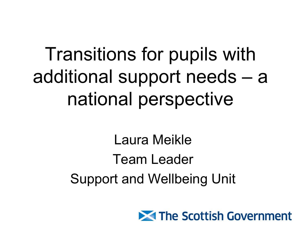# Transitions for pupils with additional support needs – a national perspective

Laura Meikle Team Leader Support and Wellbeing Unit

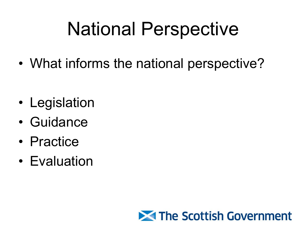## National Perspective

• What informs the national perspective?

- Legislation
- Guidance
- Practice
- Evaluation

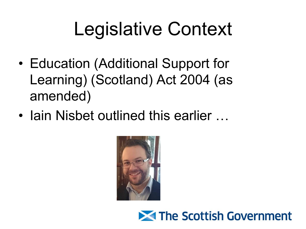## Legislative Context

- Education (Additional Support for Learning) (Scotland) Act 2004 (as amended)
- Iain Nisbet outlined this earlier ...



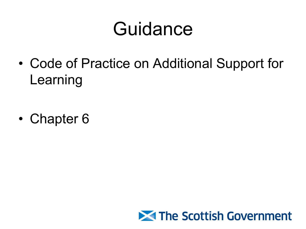## Guidance

• Code of Practice on Additional Support for Learning

• Chapter 6

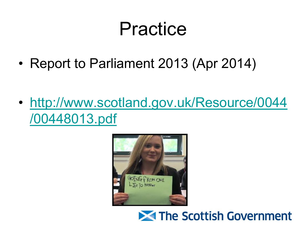## Practice

• Report to Parliament 2013 (Apr 2014)

• [http://www.scotland.gov.uk/Resource/0044](http://www.scotland.gov.uk/Resource/0044/00448013.pdf) [/00448013.pdf](http://www.scotland.gov.uk/Resource/0044/00448013.pdf)



#### **X** The Scottish Government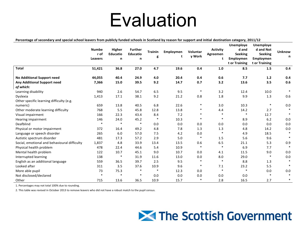### **Evaluation**

| Percentage of secondary and special school leavers from publicly funded schools in Scotland by reason for support and initial destination category, 2011/12 |  |  |
|-------------------------------------------------------------------------------------------------------------------------------------------------------------|--|--|
|-------------------------------------------------------------------------------------------------------------------------------------------------------------|--|--|

|                                              | <b>Numbe</b><br>r of<br>Leavers | Higher<br><b>Educatio</b><br>n | <b>Further</b><br><b>Educatio</b><br>n | <b>Trainin</b><br>g | Employmen<br>t | Voluntar<br>v Work | <b>Activity</b><br>Agreemen<br>t | <b>Unemploye</b><br>d and<br><b>Seeking</b><br>Employmen<br>t or Training | Unemploye<br>d and Not<br><b>Seeking</b><br>Employmen<br>t or Training | <b>Unknow</b><br>n |
|----------------------------------------------|---------------------------------|--------------------------------|----------------------------------------|---------------------|----------------|--------------------|----------------------------------|---------------------------------------------------------------------------|------------------------------------------------------------------------|--------------------|
| <b>Total</b>                                 | 51,421                          | 36.8                           | 27.0                                   | 4.7                 | 19.6           | 0.4                | 1.0                              | 8.5                                                                       | 1.5                                                                    | 0.4                |
| No Additional Support need                   | 44,055                          | 40.4                           | 24.9                                   | 4.0                 | 20.4           | 0.4                | 0.6                              | 7.7                                                                       | $1.2$                                                                  | 0.4                |
| Any Additional Support need                  | 7,366                           | 15.0                           | 39.5                                   | 9.2                 | 14.7           | 0.7                | 3.2                              | 13.6                                                                      | 3.5                                                                    | 0.6                |
| of which:                                    |                                 |                                |                                        |                     |                |                    |                                  |                                                                           |                                                                        |                    |
| Learning disability                          | 940                             | 2.6                            | 54.7                                   | 6.5                 | 9.5            | $\ast$             | 3.2                              | 12.4                                                                      | 10.0                                                                   | $\ast$             |
| Dyslexia                                     | 1,413                           | 17.1                           | 38.1                                   | 9.2                 | 21.2           | 0.8                | 1.8                              | 9.9                                                                       | 1.3                                                                    | 0.6                |
| Other specific learning difficulty (e.g.     |                                 |                                |                                        |                     |                |                    |                                  |                                                                           |                                                                        |                    |
| numeric)                                     | 659                             | 13.8                           | 40.5                                   | 6.8                 | 22.6           | $\ast$             | 3.0                              | 10.3                                                                      | $\ast$                                                                 | 0.0                |
| Other moderate learning difficulty           | 768                             | 5.5                            | 45.8                                   | 12.8                | 13.8           | *                  | 4.4                              | 14.2                                                                      | 2.7                                                                    |                    |
| Visual impairment                            | 166                             | 22.3                           | 43.4                                   | 8.4                 | 7.2            | $\ast$             | $\ast$                           | $\ast$                                                                    | 12.7                                                                   |                    |
| Hearing impairment                           | 146                             | 24.0                           | 45.2                                   | $\ast$              | 10.3           | $\ast$             | $\ast$                           | 8.9                                                                       | 6.2                                                                    | 0.0                |
| Deafblind                                    | $\ast$                          | $\ast$                         | $\ast$                                 | 0.0                 | 0.0            | 0.0                | 0.0                              | 0.0                                                                       | 0.0                                                                    | 0.0                |
| Physical or motor impairment                 | 372                             | 16.4                           | 49.2                                   | 4.8                 | 7.8            | 1.3                | 1.3                              | 4.8                                                                       | 14.2                                                                   | 0.0                |
| Language or speech disorder                  | 265                             | 6.0                            | 57.0                                   | 7.5                 | 4.2            | 0.0                | $\ast$                           | 4.9                                                                       | 18.5                                                                   |                    |
| Autistic spectrum disorder                   | 481                             | 17.3                           | 57.2                                   | 2.9                 | 5.0            | $\ast$             | 1.5                              | 5.6                                                                       | 9.6                                                                    | $\ast$             |
| Social, emotional and behavioural difficulty | 1,837                           | 4.8                            | 33.9                                   | 13.4                | 13.5           | 0.6                | 6.5                              | 21.1                                                                      | 5.3                                                                    | 0.9                |
| Physical health problem                      | 478                             | 22.4                           | 44.6                                   | 5.4                 | 10.9           | $\ast$             | $\ast$                           | 6.9                                                                       | 7.7                                                                    |                    |
| Mental health problem                        | 122                             | 10.7                           | 45.1                                   | 9.0                 | 10.7           | 0.0                | 4.1                              | 11.5                                                                      | 9.0                                                                    | 0.0                |
| Interrupted learning                         | 138                             | $\ast$                         | 31.9                                   | 11.6                | 13.0           | 0.0                | 8.0                              | 29.0                                                                      | $\ast$                                                                 | 0.0                |
| English as an additional language            | 559                             | 36.5                           | 39.7                                   | 2.5                 | 9.5            | $\ast$             | $\ast$                           | 8.8                                                                       | 1.3                                                                    |                    |
| Looked after                                 | 311                             | 3.5                            | 37.6                                   | 10.9                | 9.6            | $\ast$             | 7.1                              | 23.2                                                                      | 5.5                                                                    | $\ast$             |
| More able pupil                              | 73                              | 75.3                           | $\ast$                                 | $\ast$              | 12.3           | 0.0                | $\ast$                           | $\ast$                                                                    | 0.0                                                                    | 0.0                |
| Not disclosed/declared                       | $\ast$                          | $\ast$                         | $\ast$                                 | 0.0                 | 0.0            | 0.0                | 0.0                              | 0.0                                                                       | $\ast$                                                                 | $\ast$             |
| Other                                        | 715                             | 13.6                           | 36.5                                   | 10.9                | 15.7           | $\ast$             | 2.8                              | 16.5                                                                      | 2.7                                                                    | $\ast$             |

1. Percentages may not total 100% due to rounding.

2. This table was revised in October 2013 to remove leavers who did not have a robust match to the pupil census.